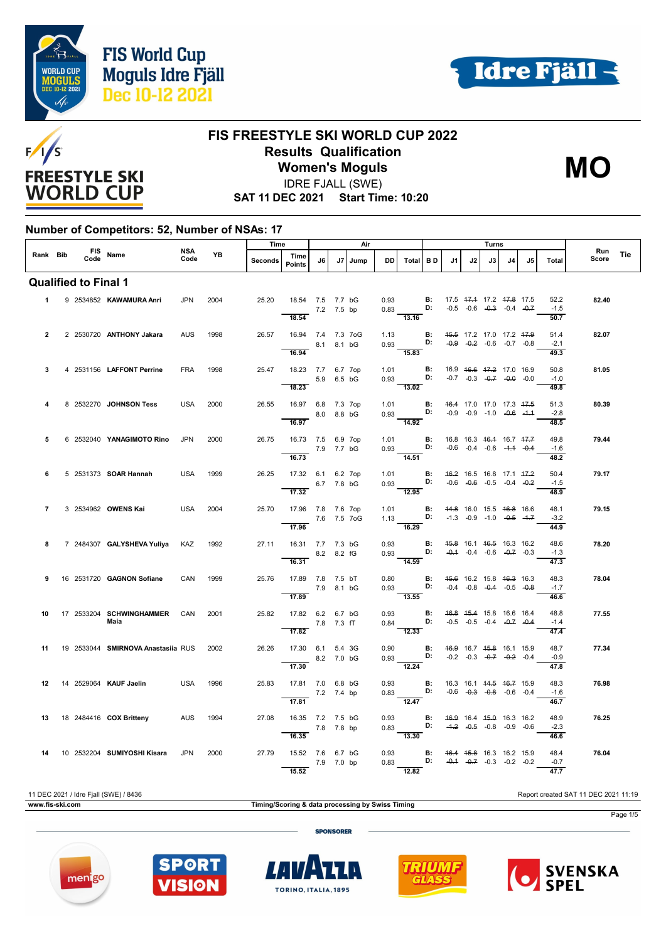



**MO**



#### **FIS FREESTYLE SKI WORLD CUP 2022 Results Qualification Women's Moguls**

IDRE FJALL (SWE)

**SAT 11 DEC 2021 Start Time: 10:20**

#### **Number of Competitors: 52, Number of NSAs: 17**

|              |  |                             |                                         | Time<br>Air |           |         |                                                          |            |    | Turns |                      |                                                                                                                                |                                    |                          |    |    |                                                                |     |                        |              |     |
|--------------|--|-----------------------------|-----------------------------------------|-------------|-----------|---------|----------------------------------------------------------|------------|----|-------|----------------------|--------------------------------------------------------------------------------------------------------------------------------|------------------------------------|--------------------------|----|----|----------------------------------------------------------------|-----|------------------------|--------------|-----|
| Rank Bib     |  |                             | FIS Name                                | NSA<br>Code | <b>YB</b> | Seconds | Time<br>Points                                           | J6         | J7 | Jump  | DD                   | Total BD                                                                                                                       |                                    | J1                       | J2 | J3 | J <sub>4</sub>                                                 | .15 | Total                  | Run<br>Score | Tie |
|              |  | <b>Qualified to Final 1</b> |                                         |             |           |         |                                                          |            |    |       |                      |                                                                                                                                |                                    |                          |    |    |                                                                |     |                        |              |     |
| $1 \quad$    |  |                             | 9 2534852 KAWAMURA Anri                 | <b>JPN</b>  | 2004      | 25.20   | 18.54 7.5 7.7 bG<br>18.54                                | 7.2 7.5 bp |    |       |                      | 0.93 <b>B:</b> 17.5 $\frac{47.4}{17.2}$ $\frac{47.8}{17.5}$ 17.5<br>13.16                                                      |                                    |                          |    |    |                                                                |     | 52.2<br>$-1.5$<br>50.7 | 82.40        |     |
| $\mathbf{2}$ |  |                             | 2 2530720 ANTHONY Jakara                | <b>AUS</b>  | 1998      | 26.57   | 16.94 7.4 7.3 7oG<br>8.1 8.1 bG<br>16.94                 |            |    |       |                      | 1.13 <b>B:</b><br>0.93 <b>D:</b><br>$\frac{11}{15.83}$                                                                         |                                    | 45.5 17.2 17.0 17.2 47.9 |    |    | $-0.9$ $-0.2$ $-0.6$ $-0.7$ $-0.8$                             |     | 51.4<br>$-2.1$<br>49.3 | 82.07        |     |
| 3            |  |                             | 4 2531156 LAFFONT Perrine               | <b>FRA</b>  | 1998      | 25.47   | 18.23 7.7 6.7 7op<br>$5.9$ 6.5 bG<br>18.23               |            |    |       |                      | 1.01 <b>B</b> : 16.9 <del>16.6 17.2</del> 17.0 16.9<br>0.93 <b>D:</b> -0.7 -0.3 -0.7 -0.0 -0.0<br>$-13.02$                     |                                    |                          |    |    |                                                                |     | 50.8<br>$-1.0$<br>49.8 | 81.05        |     |
| 4            |  |                             | 8 2532270 JOHNSON Tess                  | <b>USA</b>  | 2000      | 26.55   | 16.97 6.8 7.3 7op<br>8.0 8.8 bG<br>16.97                 |            |    |       |                      | 1.01 <b>B</b> : 46.4 17.0 17.0 17.3 47.5<br>0.93 <b>D:</b> -0.9 -0.9 -1.0 -0.6 -1.1<br>$-14.92$                                |                                    |                          |    |    |                                                                |     | 51.3<br>$-2.8$<br>48.5 | 80.39        |     |
| 5            |  |                             | 6 2532040 YANAGIMOTO Rino               | <b>JPN</b>  | 2000      | 26.75   | 16.73 7.5 6.9 7op<br>7.9 7.7 bG<br>16.73                 |            |    |       | <b>Contract</b>      | 1.01 <b>B</b> : 16.8 16.3 46.4 16.7 47.7<br>0.93 <b>D:</b> -0.6 -0.4 -0.6 -4.4 -0.4<br>14.51                                   |                                    |                          |    |    |                                                                |     | 49.8<br>$-1.6$<br>48.2 | 79.44        |     |
| 6            |  |                             | 5 2531373 <b>SOAR Hannah</b>            | <b>USA</b>  | 1999      | 26.25   | 17.32 6.1 6.2 7op<br>$\overline{17.32}$                  | 6.7 7.8 bG |    |       | 1.01                 | $0.93$ D: $-0.6$ $-0.6$ $-0.5$ $-0.4$ $-0.2$<br>12.95                                                                          | <b>B:</b> 46.2 16.5 16.8 17.1 47.2 |                          |    |    |                                                                |     | 50.4<br>$-1.5$<br>48.9 | 79.17        |     |
| 7            |  |                             | 3 2534962 OWENS Kai                     | USA         | 2004      | 25.70   | 17.96 7.8 7.6 7op<br>$7.6$ 7.5 7og<br>$\overline{17.96}$ |            |    |       |                      | 1.01 <b>B:</b> 44.8 16.0 15.5 46.8 16.6<br>1.13 <b>D:</b> -1.3 -0.9 -1.0 - <del>0.5</del> -4.7<br>16.29                        |                                    |                          |    |    |                                                                |     | 48.1<br>$-3.2$<br>44.9 | 79.15        |     |
| 8            |  |                             | 7 2484307 GALYSHEVA Yuliya KAZ          |             | 1992      |         | 27.11  16.31  7.7  7.3  bG<br>8.2 8.2 fG<br>16.31        |            |    |       |                      | 0.93 <b>B:</b> 4 <del>5.8</del> 16.1 46.5 16.3 16.2<br>0.93 <b>D:</b> -0.4 -0.4 -0.6 -0.7 -0.3<br>$\overline{14.59}$           |                                    |                          |    |    |                                                                |     | 48.6<br>$-1.3$<br>47.3 | 78.20        |     |
| 9            |  |                             | 16 2531720 <b>GAGNON Sofiane</b>        | CAN         | 1999      | 25.76   | 17.89 7.8 7.5 bT<br>17.89                                | 7.9 8.1 bG |    |       | 0.93                 | 0.80 <b>B:</b> 4 <del>5.6</del> 16.2 15.8 46.3 16.3<br>0.93 <b>D:</b> -0.4 -0.8 -0.4 -0.5 -0.8<br>13.55                        |                                    |                          |    |    |                                                                |     | 48.3<br>$-1.7$<br>46.6 | 78.04        |     |
| 10           |  |                             | 17 2533204 SCHWINGHAMMER CAN<br>Maia    |             | 2001      | 25.82   | 17.82 6.2 6.7 bG<br>$7.8$ 7.3 fT<br>17.82                |            |    |       |                      | 0.93 <b>B</b> : 46.8 45.4 15.8 16.6 16.4<br>0.84 <b>D:</b> -0.5 -0.5 -0.4 -0.7 -0.4<br>$\overline{12.33}$                      |                                    |                          |    |    |                                                                |     | 48.8<br>$-1.4$<br>47.4 | 77.55        |     |
| 11           |  |                             | 19 2533044 SMIRNOVA Anastasiia RUS 2002 |             |           | 26.26   | 17.30 6.1 5.4 3G<br>8.2 7.0 bG<br>17.30                  |            |    |       | 0.90<br>and the con- | $0.93$ D:<br>$\overline{12.24}$                                                                                                | B:                                 |                          |    |    | 46.9 16.7 45.8 16.1 15.9<br>$-0.2$ $-0.3$ $-0.7$ $-0.2$ $-0.4$ |     | 48.7<br>$-0.9$<br>47.8 | 77.34        |     |
| 12           |  |                             | 14 2529064 KAUF Jaelin                  | USA         | 1996      | 25.83   | 17.81 7.0 6.8 bG<br>$7.2$ 7.4 bp<br>17.81                |            |    |       |                      | 0.93 <b>B:</b> 16.3 16.1 <del>14.5 16.7</del> 15.9<br>0.83 <b>D:</b> -0.6 -0. <del>3</del> -0.8 -0.6 -0.4<br>$\frac{12.47}{2}$ |                                    |                          |    |    |                                                                |     | 48.3<br>$-1.6$<br>46.7 | 76.98        |     |
| 13           |  |                             | 18 2484416 COX Britteny AUS             |             | 1994      | 27.08   | 16.35 7.2 7.5 bG<br>16.35                                | 7.8 7.8 bp |    |       | 0.93                 | 0.83 <b>D:</b> $-4.2$ $-0.5$ $-0.8$ $-0.9$ $-0.6$<br>$\overline{13.30}$                                                        | <b>B:</b> 46.9 16.4 45.0 16.3 16.2 |                          |    |    |                                                                |     | 48.9<br>$-2.3$<br>46.6 | 76.25        |     |
| 14           |  |                             | 10 2532204 SUMIYOSHI Kisara             | <b>JPN</b>  | 2000      | 27.79   | 15.52 7.6 6.7 bG<br>15.52                                | 7.9 7.0 bp |    |       |                      | 0.93 <b>B:</b> 46.4 45.8 16.3 16.2 15.9<br>0.83 <b>D:</b> -0.4 -0.7 -0.3 -0.2 -0.2<br>12.82                                    |                                    |                          |    |    |                                                                |     | 48.4<br>$-0.7$<br>47.7 | 76.04        |     |

11 DEC 2021 / Idre Fjall (SWE) / 8436 Report created SAT 11 DEC 2021 11:19

**www.fis-ski.com Timing/Scoring & data processing by Swiss Timing** Page 1/5







**SPONSORER** 



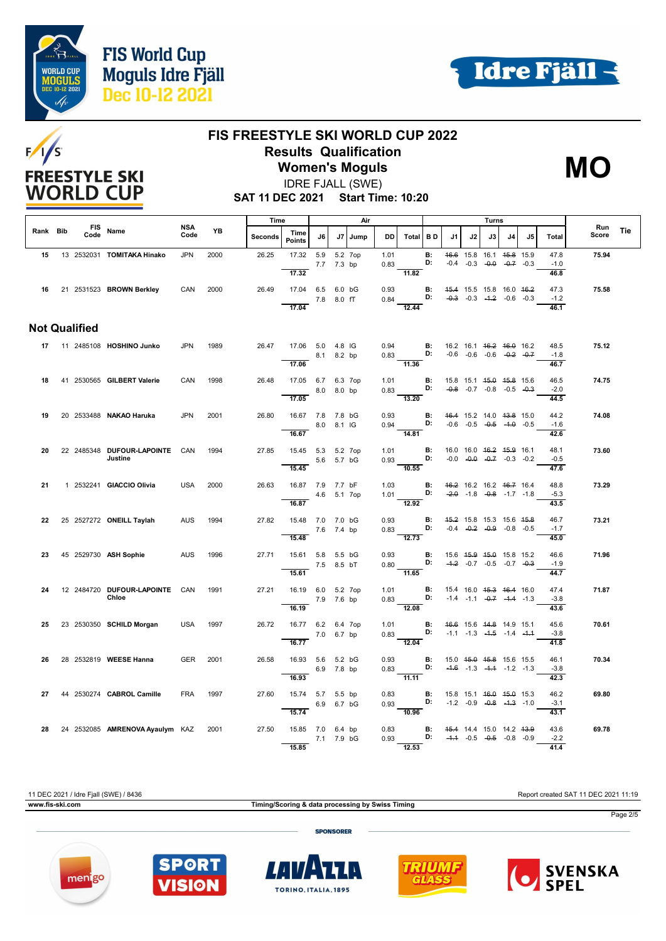





#### **FIS FREESTYLE SKI WORLD CUP 2022 Results Qualification Women's Moguls**



**SAT 11 DEC 2021 Start Time: 10:20** IDRE FJALL (SWE)

|          |  |                      | <b>NSA</b>                                |            | Time |         |                                 |            | Air        |         |              |                                                                                                 |           |                                                | Turns                                                                                |    |    |    |                        |              |     |
|----------|--|----------------------|-------------------------------------------|------------|------|---------|---------------------------------|------------|------------|---------|--------------|-------------------------------------------------------------------------------------------------|-----------|------------------------------------------------|--------------------------------------------------------------------------------------|----|----|----|------------------------|--------------|-----|
| Rank Bib |  | Code                 | FIS Name                                  | Code       | YB   | Seconds | Time<br><b>Points</b>           | J6         | J7         | Jump    | DD.          | Total BD                                                                                        |           | J1                                             | J2                                                                                   | J3 | J4 | J5 | <b>Total</b>           | Run<br>Score | Tie |
| 15       |  |                      | 13 2532031 TOMITAKA Hinako                | <b>JPN</b> | 2000 | 26.25   | 17.32 5.9<br>17.32              | 7.7 7.3 bp |            | 5.2 7op | 1.01<br>0.83 | 11.82                                                                                           | B:<br>D:  |                                                | 46.6 15.8 16.1 45.8 15.9<br>$-0.4$ $-0.3$ $-0.9$ $-0.7$ $-0.3$                       |    |    |    | 47.8<br>$-1.0$<br>46.8 | 75.94        |     |
| 16       |  |                      | 21 2531523 BROWN Berkley                  | CAN        | 2000 | 26.49   | 17.04 6.5 6.0 bG                | 7.8 8.0 fT |            |         | 0.93         | 0.84 <b>D:</b> $-0.3$ $-0.3$ $-4.2$ $-0.6$ $-0.3$                                               |           | <b>B:</b> 45.4 15.5 15.8 16.0 46.2             |                                                                                      |    |    |    | 47.3<br>$-1.2$         | 75.58        |     |
|          |  | <b>Not Qualified</b> |                                           |            |      |         | 17.04                           |            |            |         |              | $\overline{12.44}$                                                                              |           |                                                |                                                                                      |    |    |    | 46.1                   |              |     |
|          |  |                      |                                           |            |      |         |                                 |            |            |         |              |                                                                                                 |           |                                                |                                                                                      |    |    |    |                        |              |     |
|          |  |                      | 17 11 2485108 HOSHINO Junko               | JPN        | 1989 | 26.47   | 17.06 5.0 4.8 IG                | 8.1 8.2 bp |            |         |              | 0.94 <b>B</b> : 16.2 16.1 46.2 46.0 16.2<br>0.83 <b>D:</b> -0.6 -0.6 -0.6 -0. <del>2</del> -0.7 |           |                                                |                                                                                      |    |    |    | 48.5<br>$-1.8$         | 75.12        |     |
|          |  |                      |                                           |            |      |         | 17.06                           |            |            |         |              | 11.36                                                                                           |           |                                                |                                                                                      |    |    |    | 46.7                   |              |     |
| 18       |  |                      | 41 2530565 GILBERT Valerie                | CAN        | 1998 | 26.48   | 17.05 6.7 6.3 7op               |            | 8.0 8.0 bp |         |              | 1.01 <b>B</b> : 15.8 15.1 4 <del>5.0</del> 45.8 15.6<br>0.83                                    |           |                                                |                                                                                      |    |    |    | 46.5<br>$-2.0$         | 74.75        |     |
|          |  |                      |                                           |            |      |         | 17.05                           |            |            |         |              | $\overline{13.20}$                                                                              |           |                                                |                                                                                      |    |    |    | 44.5                   |              |     |
| 19       |  |                      | 20 2533488 NAKAO Haruka                   | <b>JPN</b> | 2001 | 26.80   | 16.67 7.8 7.8 bG<br>8.0 8.1 IG  |            |            |         | 0.93         | $0.94$ D: $-0.6$ $-0.5$ $-0.5$ $-1.0$ $-0.5$                                                    |           | <b>B:</b> 46.4 15.2 14.0 43.8 15.0             |                                                                                      |    |    |    | 44.2<br>$-1.6$         | 74.08        |     |
|          |  |                      |                                           |            |      |         | 16.67                           |            |            |         |              | $-14.81$                                                                                        |           |                                                |                                                                                      |    |    |    | 42.6                   |              |     |
| 20       |  |                      | 22 2485348 DUFOUR-LAPOINTE CAN<br>Justine |            | 1994 | 27.85   | 15.45 5.3 5.2 7op               | 5.6 5.7 bG |            |         | 1.01         | $0.93$ D:                                                                                       | B:        |                                                | 16.0 16.0 <del>16.2</del> <del>15.9</del> 16.1<br>$-0.0$ $-0.0$ $-0.7$ $-0.3$ $-0.2$ |    |    |    | 48.1<br>$-0.5$         | 73.60        |     |
|          |  |                      |                                           |            |      |         | 15.45                           |            |            |         |              | $\frac{1}{10.55}$                                                                               |           |                                                |                                                                                      |    |    |    | 47.6                   |              |     |
| 21       |  |                      | 1 2532241 <b>GIACCIO Olivia</b>           | USA        | 2000 | 26.63   | 16.87 7.9 7.7 bF<br>4.6 5.1 7op |            |            |         | 1.03         | 1.01 <b>D:</b> $-2.0$ -1.8 $-0.8$ -1.7 -1.8                                                     |           | <b>B:</b> 46.2 16.2 16.2 46.7 16.4             |                                                                                      |    |    |    | 48.8<br>$-5.3$         | 73.29        |     |
|          |  |                      |                                           |            |      |         | 16.87                           |            |            |         |              | $\overline{12.92}$                                                                              |           |                                                |                                                                                      |    |    |    | 43.5                   |              |     |
| 22       |  |                      | 25 2527272 ONEILL Taylah                  | <b>AUS</b> | 1994 | 27.82   | 15.48 7.0 7.0 bG                |            |            |         | 0.93         | $0.83$ D:                                                                                       | - B:      |                                                | 45.2 15.8 15.3 15.6 45.8<br>$-0.4$ $-0.2$ $-0.9$ $-0.8$ $-0.5$                       |    |    |    | 46.7<br>$-1.7$         | 73.21        |     |
|          |  |                      |                                           |            |      |         | 7.6 7.4 bp<br>15.48             |            |            |         |              | $\frac{1}{2.73}$                                                                                |           |                                                |                                                                                      |    |    |    | 45.0                   |              |     |
| 23       |  |                      | 45 2529730 ASH Sophie                     | AUS        | 1996 | 27.71   | 15.61 5.8 5.5 bG                |            |            |         | 0.93         | $0.80$ D: $-4.2$ $-0.7$ $-0.5$ $-0.7$ $-0.3$                                                    |           | <b>B:</b> 15.6 4 <del>5.9</del> 45.0 15.8 15.2 |                                                                                      |    |    |    | 46.6<br>$-1.9$         | 71.96        |     |
|          |  |                      |                                           |            |      |         | 7.5 8.5 bT<br>15.61             |            |            |         |              | 11.65                                                                                           |           |                                                |                                                                                      |    |    |    | 44.7                   |              |     |
| 24       |  |                      | 12 2484720 DUFOUR-LAPOINTE CAN<br>Chloe   |            | 1991 | 27.21   | 16.19 6.0 5.2 7op               |            |            |         | 1.01         | D:                                                                                              | <b>B:</b> |                                                | 15.4 16.0 <del>15.3</del> 16.4 16.0                                                  |    |    |    | 47.4                   | 71.87        |     |
|          |  |                      |                                           |            |      |         | 16.19                           | 7.9 7.6 bp |            |         | 0.83         | 12.08                                                                                           |           |                                                | $-1.4$ $-1.1$ $-0.7$ $-1.4$ $-1.3$                                                   |    |    |    | $-3.8$<br>43.6         |              |     |
| 25       |  |                      | 23 2530350 SCHILD Morgan                  | USA        | 1997 | 26.72   | 16.77 6.2 6.4 7op               |            |            |         |              | $1.01$ B:<br>0.83                                                                               |           | 46.6 15.6 44.8 14.9 15.1                       |                                                                                      |    |    |    | 45.6                   | 70.61        |     |
|          |  |                      |                                           |            |      |         | 16.77                           | 7.0 6.7 bp |            |         |              | $-12.04$                                                                                        |           | <b>D:</b> $-1.1$ $-1.3$ $-4.5$ $-1.4$ $-4.4$   |                                                                                      |    |    |    | $-3.8$<br>41.8         |              |     |
| 26       |  |                      | 28 2532819 WEESE Hanna                    | <b>GER</b> | 2001 | 26.58   | 16.93 5.6 5.2 bG                |            |            |         | 0.93         | $\overline{B}$ :                                                                                |           | 15.0 <del>15.0</del> <del>15.8</del> 15.6 15.5 |                                                                                      |    |    |    | 46.1                   | 70.34        |     |
|          |  |                      |                                           |            |      |         | 16.93                           | 6.9 7.8 bp |            |         |              | $0.83$ D:<br>11.11                                                                              |           |                                                | $-4.6$ $-1.3$ $-4.4$ $-1.2$ $-1.3$                                                   |    |    |    | $-3.8$<br>42.3         |              |     |
| 27       |  |                      | 44 2530274 CABROL Camille                 | <b>FRA</b> | 1997 | 27.60   | 15.74 5.7 5.5 bp                | 6.9 6.7 bG |            |         | 0.83<br>0.93 | $\overline{B}$ :<br>D:                                                                          |           |                                                | 15.8 15.1 <del>16.0</del> <del>15.0</del> 15.3<br>$-1.2$ $-0.9$ $-0.8$ $-4.3$ $-1.0$ |    |    |    | 46.2<br>$-3.1$         | 69.80        |     |
|          |  |                      |                                           |            |      |         | 15.74                           |            |            |         |              | 10.96                                                                                           |           |                                                |                                                                                      |    |    |    | 43.1                   |              |     |
| 28       |  |                      | 24 2532085 AMRENOVA Ayaulym KAZ 2001      |            |      | 27.50   | 15.85 7.0 6.4 bp                |            |            |         |              | 0.83 <b>B:</b> 45.4 14.4 15.0 14.2 43.9<br>0.93 <b>D:</b> -4.4 -0.5 -0.5 -0.8 -0.9              |           |                                                |                                                                                      |    |    |    | 43.6<br>$-2.2$         | 69.78        |     |
|          |  |                      |                                           |            |      |         | 15.85                           | 7.1 7.9 bG |            |         |              | $\frac{1}{12.53}$                                                                               |           |                                                |                                                                                      |    |    |    | 41.4                   |              |     |

11 DEC 2021 / Idre Fjall (SWE) / 8436 Report created SAT 11 DEC 2021 11:19









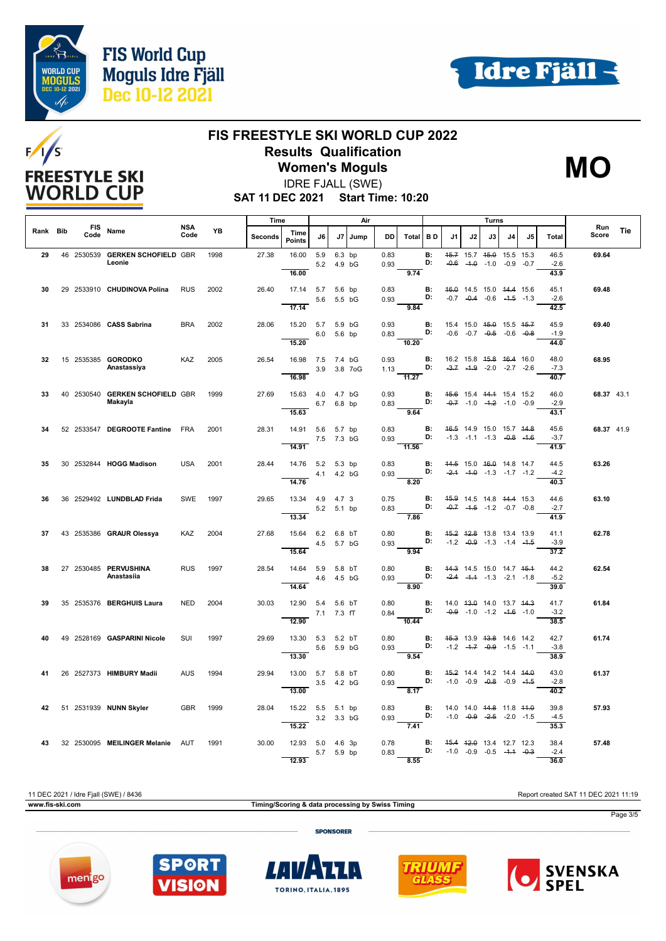



## /s  $F/I$ **FREESTYLE SKI WORLD CUP**

## **FIS FREESTYLE SKI WORLD CUP 2022 Results Qualification**

**Women's Moguls** IDRE FJALL (SWE)



**SAT 11 DEC 2021 Start Time: 10:20**

|          |                    |                                            | Time<br>Air<br><b>NSA</b> |      |         |                           |             |                      | Turns       |              |                                      |                    |    |              |                                                                           |    |    |                             |              |     |
|----------|--------------------|--------------------------------------------|---------------------------|------|---------|---------------------------|-------------|----------------------|-------------|--------------|--------------------------------------|--------------------|----|--------------|---------------------------------------------------------------------------|----|----|-----------------------------|--------------|-----|
| Rank Bib | <b>FIS</b><br>Code | Name                                       | Code                      | YB   | Seconds | Time<br>Points            | J6          | J7                   | Jump        | <b>DD</b>    | Total                                | l B D              | J1 | J2           | J3                                                                        | J4 | J5 | <b>Total</b>                | Run<br>Score | Tie |
| 29       |                    | 46 2530539 GERKEN SCHOFIELD GBR<br>Leonie  |                           | 1998 | 27.38   | 16.00<br>16.00            | 5.9         | 6.3 bp<br>5.2 4.9 bG |             | 0.83<br>0.93 | 9.74                                 | <b>B:</b><br>D:    |    | $-0.6 - 1.0$ | 45.7 15.7 45.0 15.5 15.3<br>$-1.0 -0.9 -0.7$                              |    |    | 46.5<br>$-2.6$<br>43.9      | 69.64        |     |
| 30       |                    | 29 2533910 CHUDINOVA Polina                | RUS                       | 2002 | 26.40   | 17.14 5.7 5.6 bp          |             | 5.6 5.5 bG           |             | 0.83<br>0.93 |                                      | <b>B:</b><br>D:    |    |              | 46.0 14.5 15.0 44.4 15.6<br>$-0.7$ $-0.4$ $-0.6$ $-4.5$ $-1.3$            |    |    | 45.1<br>$-2.6$              | 69.48        |     |
| 31       |                    | 33 2534086 CASS Sabrina                    | <b>BRA</b>                | 2002 | 28.06   | 17.14<br>15.20 5.7 5.9 bG |             |                      |             | 0.93         | 9.84                                 | В:                 |    |              | 15.4 15.0 45.0 15.5 45.7                                                  |    |    | 42.5<br>45.9                | 69.40        |     |
|          |                    |                                            |                           |      |         | 15.20                     |             | 6.0 5.6 bp           |             | 0.83         | 10.20                                | D:                 |    |              | $-0.6$ $-0.7$ $-0.5$ $-0.6$ $-0.8$                                        |    |    | $-1.9$<br>44.0              |              |     |
| 32       |                    | 15 2535385 GORODKO<br>Anastassiya          | KAZ                       | 2005 | 26.54   | 16.98 7.5 7.4 bG<br>16.98 |             |                      | 3.9 3.8 7oG | 0.93         | 1.13 <b>D:</b><br>$\overline{11.27}$ | <b>B:</b>          |    |              | 16.2 15.8 <del>15.8 16.4</del> 16.0<br>$-3.7$ $-4.9$ $-2.0$ $-2.7$ $-2.6$ |    |    | 48.0<br>$-7.3$<br>40.7      | 68.95        |     |
| 33       |                    | 40 2530540 GERKEN SCHOFIELD GBR<br>Makayla |                           | 1999 | 27.69   | 15.63  4.0  4.7  bG       |             | 6.7 6.8 bp           |             | 0.93<br>0.83 |                                      | <b>B:</b><br>D:    |    |              | 45.6 15.4 44.4 15.4 15.2<br>$-0.7$ $-1.0$ $-4.2$ $-1.0$ $-0.9$            |    |    | 46.0<br>$-2.9$              | 68.37 43.1   |     |
| 34       |                    | 52 2533547 DEGROOTE Fantine FRA            |                           | 2001 | 28.31   | 15.63<br>14.91 5.6 5.7 bp |             |                      |             | 0.83         | 9.64                                 | B:                 |    |              | 46.5 14.9 15.0 15.7 44.8                                                  |    |    | 43.1<br>45.6                | 68.37 41.9   |     |
|          |                    |                                            |                           |      |         | 14.91                     | 7.5 7.3 bG  |                      |             | 0.93         | $-11.56$                             | D:                 |    |              | $-1.3$ $-1.1$ $-1.3$ $-0.8$ $-1.6$                                        |    |    | $-3.7$<br>41.9              |              |     |
| 35       |                    | 30 2532844 HOGG Madison                    | <b>USA</b>                | 2001 | 28.44   | 14.76 5.2 5.3 bp<br>14.76 | 4.1  4.2 bG |                      |             | 0.83<br>0.93 | 8.20                                 | в:<br>D:           |    |              | 44.5 15.0 46.0 14.8 14.7<br>$-2.4$ $-4.0$ $-1.3$ $-1.7$ $-1.2$            |    |    | 44.5<br>$-4.2$<br>40.3      | 63.26        |     |
| 36       |                    | 36 2529492 LUNDBLAD Frida                  | <b>SWE</b>                | 1997 | 29.65   | 13.34  4.9  4.7  3        |             | 5.2 5.1 bp           |             | 0.75<br>0.83 |                                      | <b>B:</b><br>D:    |    |              | 45.9 14.5 14.8 44.4 15.3<br>$-0.7$ $-4.5$ $-1.2$ $-0.7$ $-0.8$            |    |    | 44.6<br>$-2.7$              | 63.10        |     |
| 37       |                    | 43 2535386 GRAUR Olessya                   | <b>KAZ</b>                | 2004 | 27.68   | 13.34<br>15.64 6.2 6.8 bT |             |                      |             | 0.80         | 7.86                                 | <b>B:</b>          |    |              | 45.2 42.8 13.8 13.4 13.9                                                  |    |    | 41.9<br>41.1                | 62.78        |     |
|          |                    |                                            |                           |      |         | 15.64                     |             | 4.5 5.7 bG           |             | 0.93         | 9.94                                 | D:                 |    |              | $-1.2$ $-0.9$ $-1.3$ $-1.4$ $-1.5$                                        |    |    | $-3.9$<br>$\overline{37.2}$ |              |     |
| 38       |                    | 27 2530485 PERVUSHINA<br>Anastasiia        | <b>RUS</b>                | 1997 | 28.54   | 14.64<br>14.64            | 5.9 5.8 bT  | 4.6  4.5 bG          |             | 0.80<br>0.93 | 8.90                                 | <b>B:</b><br>D:    |    |              | 44.3 14.5 15.0 14.7 45.4<br>$-2.4$ $-1.4$ $-1.3$ $-2.1$ $-1.8$            |    |    | 44.2<br>$-5.2$<br>39.0      | 62.54        |     |
| 39       |                    | 35 2535376 BERGHUIS Laura                  | <b>NED</b>                | 2004 | 30.03   | 12.90 5.4 5.6 bT<br>12.90 | 7.1 7.3 fT  |                      |             | 0.80<br>0.84 | $-10.44$                             | $\mathbf{B}$<br>D: |    |              | 14.0 43.0 14.0 13.7 44.3<br>$-0.9$ $-1.0$ $-1.2$ $-4.6$ $-1.0$            |    |    | 41.7<br>$-3.2$<br>38.5      | 61.84        |     |
| 40       |                    | 49 2528169 GASPARINI Nicole                | SUI                       | 1997 | 29.69   | 13.30 5.3 5.2 bT          | 5.6 5.9 bG  |                      |             | 0.80<br>0.93 | 9.54                                 | B:<br>D:           |    |              | 45.3 13.9 43.8 14.6 14.2<br>$-1.2$ $-4.7$ $-0.9$ $-1.5$ $-1.1$            |    |    | 42.7<br>$-3.8$<br>38.9      | 61.74        |     |
| 41       |                    | 26 2527373 HIMBURY Madii                   | <b>AUS</b>                | 1994 | 29.94   | 13.30<br>13.00 5.7 5.8 bT |             | 3.5 4.2 bG           |             | 0.80<br>0.93 |                                      | <b>B:</b><br>D:    |    |              | 45.2 14.4 14.2 14.4 44.0<br>$-1.0$ $-0.9$ $-0.8$ $-0.9$ $-4.5$            |    |    | 43.0<br>$-2.8$              | 61.37        |     |
| 42       |                    | 51 2531939 NUNN Skyler                     | <b>GBR</b>                | 1999 | 28.04   | 13.00<br>15.22 5.5 5.1 bp |             |                      |             | 0.83         | $\overline{8.17}$                    | <b>B:</b>          |    |              | 14.0 14.0 <del>14.8</del> 11.8 <del>11.0</del>                            |    |    | 40.2<br>39.8                | 57.93        |     |
|          |                    |                                            |                           |      |         | 15.22                     |             | 3.2 3.3 bG           |             | 0.93         | 7.41                                 | D:                 |    |              | $-1.0$ $-0.9$ $-2.5$ $-2.0$ $-1.5$                                        |    |    | $-4.5$<br>35.3              |              |     |
| 43       |                    | 32 2530095 MEILINGER Melanie AUT           |                           | 1991 | 30.00   | 12.93 5.0 4.6 3p<br>12.93 |             | 5.7 5.9 bp           |             | 0.78<br>0.83 | 8.55                                 | В:<br>D:           |    |              | 45.4 42.0 13.4 12.7 12.3<br>$-1.0$ $-0.9$ $-0.5$ $-4.4$ $-0.3$            |    |    | 38.4<br>$-2.4$<br>36.0      | 57.48        |     |

11 DEC 2021 / Idre Fjall (SWE) / 8436 Report created SAT 11 DEC 2021 11:19 **www.fis-ski.com Timing/Scoring & data processing by Swiss Timing** Page 3/5 **SPONSORER** 



**SPOR** 

**VISION** 

menigo



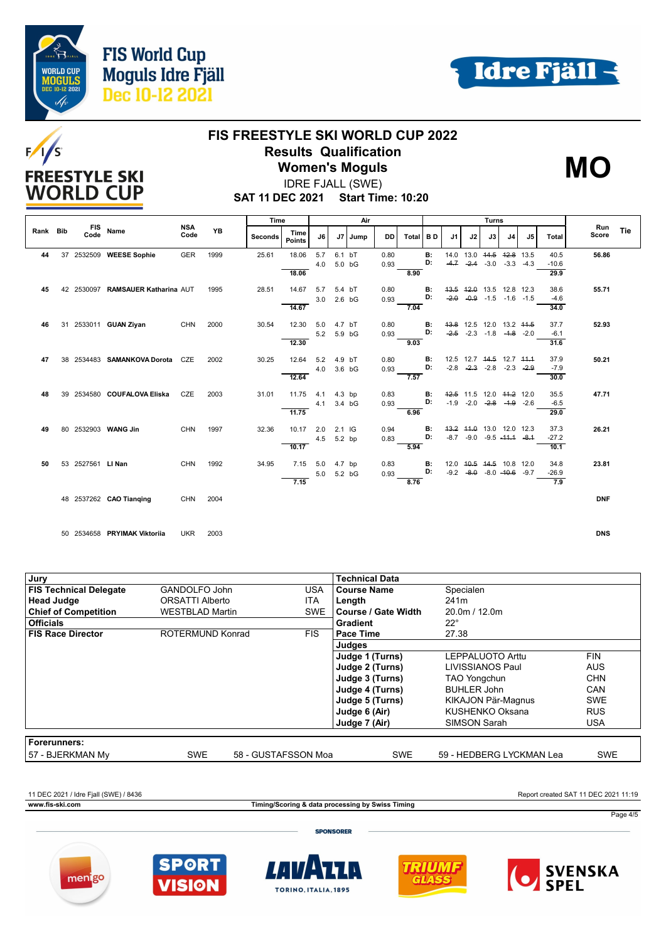



# $F/1/S$ **FREESTYLE SKI WORLD CUP**

### **FIS FREESTYLE SKI WORLD CUP 2022 Results Qualification Women's Moguls**

IDRE FJALL (SWE)



**SAT 11 DEC 2021 Start Time: 10:20**

|    |                                |                   |                                   |            |         | Time                  |       |      |            | Air |              |      | Turns          |        |                      |                |                                     |              | Run     |            |  |
|----|--------------------------------|-------------------|-----------------------------------|------------|---------|-----------------------|-------|------|------------|-----|--------------|------|----------------|--------|----------------------|----------------|-------------------------------------|--------------|---------|------------|--|
|    | <b>FIS</b><br>Rank Bib<br>Code | Name              | <b>NSA</b><br>Code                | <b>YB</b>  | Seconds | Time<br><b>Points</b> | J6    | J7 I | Jump       | DD  | <b>Total</b> | BD   | J <sub>1</sub> | J2     | J3                   | J <sub>4</sub> | J <sub>5</sub>                      | <b>Total</b> | Score   | Tie        |  |
| 44 | 37                             |                   | 2532509 WEESE Sophie              | GER        | 1999    | 25.61                 | 18.06 | 5.7  | 6.1 bT     |     | 0.80         |      | <b>B:</b>      | 14.0   | 13.0 44.5            |                | 42.8 13.5                           |              | 40.5    | 56.86      |  |
|    |                                |                   |                                   |            |         |                       |       | 4.0  | 5.0 bG     |     | 0.93         |      | D:             |        | $-4.7 -2.4$          | $-3.0$         | $-3.3 - 4.3$                        |              | $-10.6$ |            |  |
|    |                                |                   |                                   |            |         |                       | 18.06 |      |            |     |              | 8.90 |                |        |                      |                |                                     |              | 29.9    |            |  |
| 45 |                                |                   | 42 2530097 RAMSAUER Katharina AUT |            | 1995    | 28.51                 | 14.67 | 5.7  | 5.4 bT     |     | 0.80         |      | в:             |        |                      |                | 43.5 42.0 13.5 12.8 12.3            |              | 38.6    | 55.71      |  |
|    |                                |                   |                                   |            |         |                       |       | 3.0  | $2.6$ bG   |     | 0.93         |      | D:             | $-2.0$ |                      |                | $-0.9$ $-1.5$ $-1.6$ $-1.5$         |              | $-4.6$  |            |  |
|    |                                |                   |                                   |            |         |                       | 14.67 |      |            |     |              | 7.04 |                |        |                      |                |                                     |              | 34.0    |            |  |
| 46 |                                |                   | 31 2533011 GUAN Ziyan             | CHN        | 2000    | 30.54                 | 12.30 | 5.0  | 4.7 bT     |     | 0.80         |      | B:             |        |                      |                | 43.8 12.5 12.0 13.2 44.5            |              | 37.7    | 52.93      |  |
|    |                                |                   |                                   |            |         |                       |       | 5.2  | 5.9 bG     |     | 0.93         |      | D:             |        | $-2.5 -2.3 -1.8$     |                | $-4.8 - 2.0$                        |              | $-6.1$  |            |  |
|    |                                |                   |                                   |            |         |                       | 12.30 |      |            |     |              | 9.03 |                |        |                      |                |                                     |              | 31.6    |            |  |
| 47 | 38                             |                   | 2534483 SAMANKOVA Dorota CZE      |            | 2002    | 30.25                 | 12.64 | 5.2  | 4.9 bT     |     | 0.80         |      | <b>B:</b>      |        |                      |                | 12.5 12.7 44.5 12.7 44.4            |              | 37.9    | 50.21      |  |
|    |                                |                   |                                   |            |         |                       |       | 4.0  | 3.6 bG     |     | 0.93         |      | D:             |        | $-2.8$ $-2.3$ $-2.8$ |                | $-2.3$ $-2.9$                       |              | $-7.9$  |            |  |
|    |                                |                   |                                   |            |         |                       | 12.64 |      |            |     |              | 7.57 |                |        |                      |                |                                     |              | 30.0    |            |  |
| 48 | 39                             |                   | 2534580 COUFALOVA Eliska          | CZE        | 2003    | 31.01                 | 11.75 | 4.1  | $4.3$ bp   |     | 0.83         |      | B:             |        |                      |                | 42.5 11.5 12.0 44.2 12.0            |              | 35.5    | 47.71      |  |
|    |                                |                   |                                   |            |         |                       |       | 4.1  | 3.4 bG     |     | 0.93         |      | D:             |        |                      |                | $-1.9$ $-2.0$ $-2.8$ $-1.9$ $-2.6$  |              | $-6.5$  |            |  |
|    |                                |                   |                                   |            |         |                       | 11.75 |      |            |     |              | 6.96 |                |        |                      |                |                                     |              | 29.0    |            |  |
| 49 | 80                             |                   | 2532903 WANG Jin                  | <b>CHN</b> | 1997    | 32.36                 | 10.17 | 2.0  | $2.1$ IG   |     | 0.94         |      | В:             |        |                      |                | 43.2 44.0 13.0 12.0 12.3            |              | 37.3    | 26.21      |  |
|    |                                |                   |                                   |            |         |                       |       |      | 4.5 5.2 bp |     | 0.83         |      | D:             |        |                      |                | $-8.7$ $-9.0$ $-9.5$ $-44.4$ $-8.4$ |              | $-27.2$ |            |  |
|    |                                |                   |                                   |            |         |                       | 10.17 |      |            |     |              | 5.94 |                |        |                      |                |                                     |              | 10.1    |            |  |
| 50 |                                | 53 2527561 LI Nan |                                   | <b>CHN</b> | 1992    | 34.95                 | 7.15  | 5.0  | 4.7 bp     |     | 0.83         |      | В:             |        |                      |                | 12.0 40.5 44.5 10.8 12.0            |              | 34.8    | 23.81      |  |
|    |                                |                   |                                   |            |         |                       |       | 5.0  | 5.2 bG     |     | 0.93         |      | D:             |        |                      |                | $-9.2$ $-8.0$ $-8.0$ $-40.6$ $-9.7$ |              | $-26.9$ |            |  |
|    |                                |                   |                                   |            |         |                       | 7.15  |      |            |     |              | 8.76 |                |        |                      |                |                                     |              | 7.9     |            |  |
|    |                                |                   | 48 2537262 CAO Tianging           | CHN        | 2004    |                       |       |      |            |     |              |      |                |        |                      |                |                                     |              |         | <b>DNF</b> |  |
|    |                                |                   |                                   |            |         |                       |       |      |            |     |              |      |                |        |                      |                |                                     |              |         |            |  |

50 2534658 **PRYIMAK Viktoriia** UKR 2003 **DNS**

| Jury                          |                        |                     | <b>Technical Data</b> |                          |            |
|-------------------------------|------------------------|---------------------|-----------------------|--------------------------|------------|
| <b>FIS Technical Delegate</b> | GANDOLFO John          | <b>USA</b>          | <b>Course Name</b>    | Specialen                |            |
| <b>Head Judge</b>             | <b>ORSATTI Alberto</b> | <b>ITA</b>          | Length                | 241 <sub>m</sub>         |            |
| <b>Chief of Competition</b>   | <b>WESTBLAD Martin</b> | <b>SWE</b>          | l Course / Gate Width | 20.0m / 12.0m            |            |
| <b>Officials</b>              |                        |                     | <b>Gradient</b>       | $22^{\circ}$             |            |
| <b>FIS Race Director</b>      | ROTERMUND Konrad       | <b>FIS</b>          | Pace Time             | 27.38                    |            |
|                               |                        |                     | Judges                |                          |            |
|                               |                        |                     | Judge 1 (Turns)       | LEPPALUOTO Arttu         | <b>FIN</b> |
|                               |                        |                     | Judge 2 (Turns)       | LIVISSIANOS Paul         | AUS.       |
|                               |                        |                     | Judge 3 (Turns)       | <b>TAO Yongchun</b>      | <b>CHN</b> |
|                               |                        |                     | Judge 4 (Turns)       | <b>BUHLER John</b>       | CAN        |
|                               |                        |                     | Judge 5 (Turns)       | KIKAJON Pär-Magnus       | <b>SWE</b> |
|                               |                        |                     | Judge 6 (Air)         | KUSHENKO Oksana          | <b>RUS</b> |
|                               |                        |                     | Judge 7 (Air)         | SIMSON Sarah             | <b>USA</b> |
|                               |                        |                     |                       |                          |            |
| Forerunners:                  |                        |                     |                       |                          |            |
| 57 - BJERKMAN My              | <b>SWE</b>             | 58 - GUSTAFSSON Moa | <b>SWE</b>            | 59 - HEDBERG LYCKMAN Lea | <b>SWE</b> |

11 DEC 2021 / Idre Fjall (SWE) / 8436 Report created SAT 11 DEC 2021 11:19

**www.fis-ski.com Timing/Scoring & data processing by Swiss Timing**

Page 4/5

**SPONSORER**